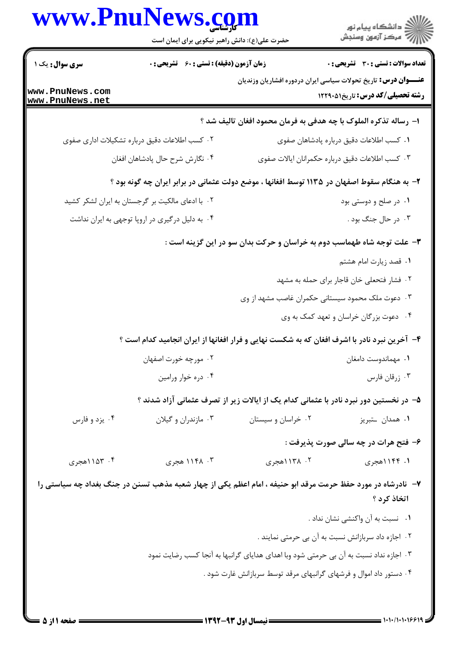| www.PnuNews.com                    | حضرت علی(ع): دانش راهبر نیکویی برای ایمان است      |                                                                                                              | ڪ دانشڪاه پيام نور<br>/> مرڪز آزمون وسنڊش                                                                      |
|------------------------------------|----------------------------------------------------|--------------------------------------------------------------------------------------------------------------|----------------------------------------------------------------------------------------------------------------|
| سری سوال: یک ۱                     | <b>زمان آزمون (دقیقه) : تستی : 60 ٪ تشریحی : 0</b> |                                                                                                              | <b>تعداد سوالات : تستي : 30 ٪ تشريحي : 0</b>                                                                   |
| www.PnuNews.com<br>www.PnuNews.net |                                                    |                                                                                                              | <b>عنـــوان درس:</b> تاریخ تحولات سیاسی ایران دردوره افشاریان وزندیان<br><b>رشته تحصیلی/کد درس:</b> تاریخ12291 |
|                                    |                                                    | ا– رساله تذکره الملوک با چه هدفی به فرمان محمود افغان تالیف شد ؟                                             |                                                                                                                |
|                                    | ۰۲ کسب اطلاعات دقیق درباره تشکیلات اداری صفوی      |                                                                                                              | ٠١ كسب اطلاعات دقيق درباره پادشاهان صفوى                                                                       |
|                                    | ۰۴ نگارش شرح حال پادشاهان افغان                    |                                                                                                              | ۰۳ کسب اطلاعات دقیق درباره حکمرانان ایالات صفوی                                                                |
|                                    |                                                    | ۲– به هنگام سقوط اصفهان در ۱۱۳۵ توسط افغانها ، موضع دولت عثمانی در برابر ایران چه گونه بود ؟                 |                                                                                                                |
|                                    | ۰۲ با ادعای مالکیت بر گرجستان به ایران لشکر کشید   |                                                                                                              | ۰۱ در صلح و دوستی بود                                                                                          |
|                                    | ۰۴ به دلیل درگیری در اروپا توجهی به ایران نداشت    |                                                                                                              | ۰۳ در حال جنگ بود .                                                                                            |
|                                    |                                                    | ۳- علت توجه شاه طهماسب دوم به خراسان و حرکت بدان سو در این گزینه است :                                       |                                                                                                                |
|                                    |                                                    |                                                                                                              | ٠١ قصد زيارت امام هشتم                                                                                         |
|                                    |                                                    |                                                                                                              | ٢. فشار فتحعلي خان قاجار براي حمله به مشهد                                                                     |
|                                    |                                                    | ۰۳ دعوت ملک محمود سیستانی حکمران غاصب مشهد از وی                                                             |                                                                                                                |
|                                    |                                                    |                                                                                                              | ۰۴ دعوت بزرگان خراسان و تعهد کمک به وی                                                                         |
|                                    |                                                    | ۴- آخرین نبرد نادر با اشرف افغان که به شکست نهایی و فرار افغانها از ایران انجامید کدام است ؟                 |                                                                                                                |
|                                    | ۰۲ مورچه خورت اصفهان                               |                                                                                                              | ٠١ مهماندوست دامغان                                                                                            |
|                                    | ۰۴ دره خوار ورامين                                 |                                                                                                              | ۰۳ زرقان فارس                                                                                                  |
|                                    |                                                    | ۵– در نخستین دور نبرد نادر با عثمانی کدام یک از ایالات زیر از تصرف عثمانی آزاد شدند ؟                        |                                                                                                                |
| ۰۴ يزد و فارس                      | ۰۳ مازندران و گیلان                                | ۰۲ خراسان و سیستان                                                                                           | ۰۱ همدان ــتبريز                                                                                               |
|                                    |                                                    |                                                                                                              | ۶- فتح هرات در چه سالی صورت پذیرفت :                                                                           |
| ۰۴ ۱۵۳ (هجری                       | ۰۳ ۱۱۴۸ هجری                                       | ۰۲ ۱۳۸ ۱هجری                                                                                                 | ۱. ۱۱۴۴هجری                                                                                                    |
|                                    |                                                    | ۷-  نادرشاه در مورد حفظ حرمت مرقد ابو حنیفه ، امام اعظم یکی از چهار شعبه مذهب تسنن در جنگ بغداد چه سیاستی را | اتخاذ کرد ؟                                                                                                    |
|                                    |                                                    |                                                                                                              | ٠١ نسبت به آن واكنشى نشان نداد .                                                                               |
|                                    |                                                    |                                                                                                              | ۰۲ اجازه داد سربازانش نسبت به آن بی حرمتی نمایند .                                                             |
|                                    |                                                    | ۰۳ اجازه نداد نسبت به آن بی حرمتی شود وبا اهدای هدایای گرانبها به آنجا کسب رضایت نمود                        |                                                                                                                |
|                                    |                                                    | ۰۴ دستور داد اموال و فرشهای گرانبهای مرقد توسط سربازانش غارت شود .                                           |                                                                                                                |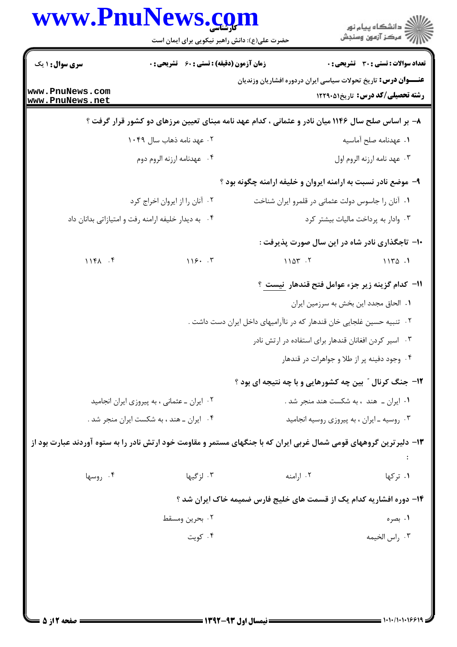| <b>زمان آزمون (دقیقه) : تستی : 60 ٪ تشریحی : 0</b><br><b>عنـــوان درس:</b> تاریخ تحولات سیاسی ایران دردوره افشاریان وزندیان<br>۸– بر اساس صلح سال ۱۱۴۶ میان نادر و عثمانی ، کدام عهد نامه مبنای تعیین مرزهای دو کشور قرار گرفت ؟<br>٠١. عهدنامه صلح آماسيه<br>۰۲ عهد نامه ذهاب سال ۱۰۴۹<br>٠٣ عهد نامه ارزنه الروم اول<br>۰۴ عهدنامه ارزنه الروم دوم<br>۹- موضع نادر نسبت به ارامنه ایروان و خلیفه ارامنه چگونه بود ؟<br>٠٢ آنان را از ايروان اخراج كرد<br>٠١. آنان را جاسوس دولت عثماني در قلمرو ايران شناخت<br>٠٣ وادار به پرداخت ماليات بيشتر كرد<br>۰۴ به دیدار خلیفه ارامنه رفت و امتیازاتی بدانان داد<br>∙۱- تاجگذاری نادر شاه در این سال صورت پذیرفت :<br>1181.5<br>18.5<br>1107.7<br>1170.1<br>11- كدام گزينه زير جزء عوامل فتح قندهار  نيست ؟<br>٠١. الحاق مجدد اين بخش به سرزمين ايران<br>۲ . تنبیه حسین غلجایی خان قندهار که در ناآرامیهای داخل ایران دست داشت .<br>۰۳ اسیر کردن افغانان قندهار برای استفاده در ارتش نادر<br>۰۴ وجود دفينه پر از طلا و جواهرات در قندهار<br><b>۱۲</b> - جنگ کرنال ″ بین چه کشورهایی و با چه نتیجه ای بود ؟<br>٠٢ ايران ـ عثمانى ، به پيروزى ايران انجاميد<br>۰۱ ایران ــ هند ، به شکست هند منجر شد .<br>۰۴ ایران ـ هند ، به شکست ایران منجر شد .<br>۰۳ روسیه ـ ایران ، به پیروزی روسیه انجامید<br>۱۳– دلیرترین گروههای قومی شمال غربی ایران که با جنگهای مستمر و مقاومت خود ارتش نادر را به ستوه آوردند عبارت بود از<br>۰۳ لزگیها<br>۰۲ ارامنه<br>۰۱ ترکها<br>۰۴ روسها<br>۱۴- دوره افشاریه کدام یک از قسمت های خلیج فارس ضمیمه خاک ایران شد ؟<br>۰۲ بحرين ومسقط<br>۰۱ بصره<br>۰۴ کویت<br>۰۳ راس الخيمه |                                    | حضرت علی(ع): دانش راهبر نیکویی برای ایمان است | ڪ دانشڪاه پيام نور<br>∕7 مرڪز آزمون وسنڊش    |
|---------------------------------------------------------------------------------------------------------------------------------------------------------------------------------------------------------------------------------------------------------------------------------------------------------------------------------------------------------------------------------------------------------------------------------------------------------------------------------------------------------------------------------------------------------------------------------------------------------------------------------------------------------------------------------------------------------------------------------------------------------------------------------------------------------------------------------------------------------------------------------------------------------------------------------------------------------------------------------------------------------------------------------------------------------------------------------------------------------------------------------------------------------------------------------------------------------------------------------------------------------------------------------------------------------------------------------------------------------------------------------------------------------------------------------------------------------------------------------------------------------------------------------------------------|------------------------------------|-----------------------------------------------|----------------------------------------------|
|                                                                                                                                                                                                                                                                                                                                                                                                                                                                                                                                                                                                                                                                                                                                                                                                                                                                                                                                                                                                                                                                                                                                                                                                                                                                                                                                                                                                                                                                                                                                                   | سری سوال: ۱ یک                     |                                               | <b>تعداد سوالات : تستی : 30 ٪ تشریحی : 0</b> |
|                                                                                                                                                                                                                                                                                                                                                                                                                                                                                                                                                                                                                                                                                                                                                                                                                                                                                                                                                                                                                                                                                                                                                                                                                                                                                                                                                                                                                                                                                                                                                   | www.PnuNews.com<br>www.PnuNews.net |                                               | <b>رشته تحصیلی/کد درس:</b> تاریخ1299 1۲۲۹۰   |
|                                                                                                                                                                                                                                                                                                                                                                                                                                                                                                                                                                                                                                                                                                                                                                                                                                                                                                                                                                                                                                                                                                                                                                                                                                                                                                                                                                                                                                                                                                                                                   |                                    |                                               |                                              |
|                                                                                                                                                                                                                                                                                                                                                                                                                                                                                                                                                                                                                                                                                                                                                                                                                                                                                                                                                                                                                                                                                                                                                                                                                                                                                                                                                                                                                                                                                                                                                   |                                    |                                               |                                              |
|                                                                                                                                                                                                                                                                                                                                                                                                                                                                                                                                                                                                                                                                                                                                                                                                                                                                                                                                                                                                                                                                                                                                                                                                                                                                                                                                                                                                                                                                                                                                                   |                                    |                                               |                                              |
|                                                                                                                                                                                                                                                                                                                                                                                                                                                                                                                                                                                                                                                                                                                                                                                                                                                                                                                                                                                                                                                                                                                                                                                                                                                                                                                                                                                                                                                                                                                                                   |                                    |                                               |                                              |
|                                                                                                                                                                                                                                                                                                                                                                                                                                                                                                                                                                                                                                                                                                                                                                                                                                                                                                                                                                                                                                                                                                                                                                                                                                                                                                                                                                                                                                                                                                                                                   |                                    |                                               |                                              |
|                                                                                                                                                                                                                                                                                                                                                                                                                                                                                                                                                                                                                                                                                                                                                                                                                                                                                                                                                                                                                                                                                                                                                                                                                                                                                                                                                                                                                                                                                                                                                   |                                    |                                               |                                              |
|                                                                                                                                                                                                                                                                                                                                                                                                                                                                                                                                                                                                                                                                                                                                                                                                                                                                                                                                                                                                                                                                                                                                                                                                                                                                                                                                                                                                                                                                                                                                                   |                                    |                                               |                                              |
|                                                                                                                                                                                                                                                                                                                                                                                                                                                                                                                                                                                                                                                                                                                                                                                                                                                                                                                                                                                                                                                                                                                                                                                                                                                                                                                                                                                                                                                                                                                                                   |                                    |                                               |                                              |
|                                                                                                                                                                                                                                                                                                                                                                                                                                                                                                                                                                                                                                                                                                                                                                                                                                                                                                                                                                                                                                                                                                                                                                                                                                                                                                                                                                                                                                                                                                                                                   |                                    |                                               |                                              |
|                                                                                                                                                                                                                                                                                                                                                                                                                                                                                                                                                                                                                                                                                                                                                                                                                                                                                                                                                                                                                                                                                                                                                                                                                                                                                                                                                                                                                                                                                                                                                   |                                    |                                               |                                              |
|                                                                                                                                                                                                                                                                                                                                                                                                                                                                                                                                                                                                                                                                                                                                                                                                                                                                                                                                                                                                                                                                                                                                                                                                                                                                                                                                                                                                                                                                                                                                                   |                                    |                                               |                                              |
|                                                                                                                                                                                                                                                                                                                                                                                                                                                                                                                                                                                                                                                                                                                                                                                                                                                                                                                                                                                                                                                                                                                                                                                                                                                                                                                                                                                                                                                                                                                                                   |                                    |                                               |                                              |
|                                                                                                                                                                                                                                                                                                                                                                                                                                                                                                                                                                                                                                                                                                                                                                                                                                                                                                                                                                                                                                                                                                                                                                                                                                                                                                                                                                                                                                                                                                                                                   |                                    |                                               |                                              |
|                                                                                                                                                                                                                                                                                                                                                                                                                                                                                                                                                                                                                                                                                                                                                                                                                                                                                                                                                                                                                                                                                                                                                                                                                                                                                                                                                                                                                                                                                                                                                   |                                    |                                               |                                              |
|                                                                                                                                                                                                                                                                                                                                                                                                                                                                                                                                                                                                                                                                                                                                                                                                                                                                                                                                                                                                                                                                                                                                                                                                                                                                                                                                                                                                                                                                                                                                                   |                                    |                                               |                                              |
|                                                                                                                                                                                                                                                                                                                                                                                                                                                                                                                                                                                                                                                                                                                                                                                                                                                                                                                                                                                                                                                                                                                                                                                                                                                                                                                                                                                                                                                                                                                                                   |                                    |                                               |                                              |
|                                                                                                                                                                                                                                                                                                                                                                                                                                                                                                                                                                                                                                                                                                                                                                                                                                                                                                                                                                                                                                                                                                                                                                                                                                                                                                                                                                                                                                                                                                                                                   |                                    |                                               |                                              |
|                                                                                                                                                                                                                                                                                                                                                                                                                                                                                                                                                                                                                                                                                                                                                                                                                                                                                                                                                                                                                                                                                                                                                                                                                                                                                                                                                                                                                                                                                                                                                   |                                    |                                               |                                              |
|                                                                                                                                                                                                                                                                                                                                                                                                                                                                                                                                                                                                                                                                                                                                                                                                                                                                                                                                                                                                                                                                                                                                                                                                                                                                                                                                                                                                                                                                                                                                                   |                                    |                                               |                                              |
|                                                                                                                                                                                                                                                                                                                                                                                                                                                                                                                                                                                                                                                                                                                                                                                                                                                                                                                                                                                                                                                                                                                                                                                                                                                                                                                                                                                                                                                                                                                                                   |                                    |                                               |                                              |
|                                                                                                                                                                                                                                                                                                                                                                                                                                                                                                                                                                                                                                                                                                                                                                                                                                                                                                                                                                                                                                                                                                                                                                                                                                                                                                                                                                                                                                                                                                                                                   |                                    |                                               |                                              |
|                                                                                                                                                                                                                                                                                                                                                                                                                                                                                                                                                                                                                                                                                                                                                                                                                                                                                                                                                                                                                                                                                                                                                                                                                                                                                                                                                                                                                                                                                                                                                   |                                    |                                               |                                              |
|                                                                                                                                                                                                                                                                                                                                                                                                                                                                                                                                                                                                                                                                                                                                                                                                                                                                                                                                                                                                                                                                                                                                                                                                                                                                                                                                                                                                                                                                                                                                                   |                                    |                                               |                                              |
|                                                                                                                                                                                                                                                                                                                                                                                                                                                                                                                                                                                                                                                                                                                                                                                                                                                                                                                                                                                                                                                                                                                                                                                                                                                                                                                                                                                                                                                                                                                                                   |                                    |                                               |                                              |

 $1.1.11.1.199$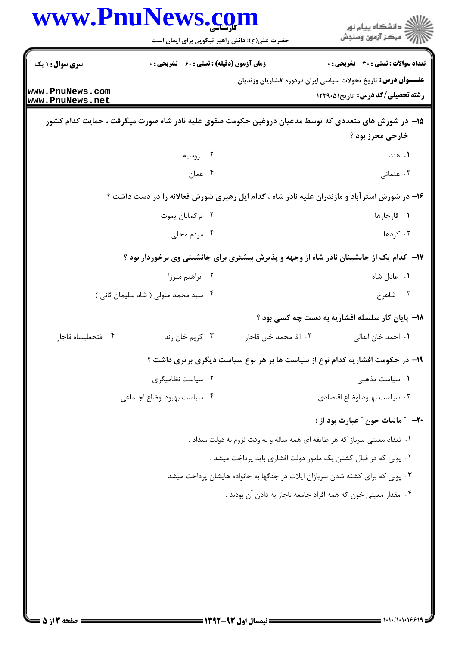| www.PnuNews.com                    | حضرت علی(ع): دانش راهبر نیکویی برای ایمان است      |                                                                                                     | ڪ دانشڪاه پيام نور<br>∕7 مرڪز آزمون وسنڊش       |
|------------------------------------|----------------------------------------------------|-----------------------------------------------------------------------------------------------------|-------------------------------------------------|
| <b>سری سوال :</b> ۱ یک             | <b>زمان آزمون (دقیقه) : تستی : 60 ٪ تشریحی : 0</b> |                                                                                                     | تعداد سوالات : تستى : 30 ٪ تشريحي : 0           |
|                                    |                                                    | <b>عنـــوان درس:</b> تاریخ تحولات سیاسی ایران دردوره افشاریان وزندیان                               |                                                 |
| www.PnuNews.com<br>www.PnuNews.net |                                                    |                                                                                                     | <b>رشته تحصیلی/کد درس:</b> تاریخ12910 1         |
|                                    |                                                    | ۱۵– در شورش های متعددی که توسط مدعیان دروغین حکومت صفوی علیه نادر شاه صورت میگرفت ، حمایت کدام کشور |                                                 |
|                                    |                                                    |                                                                                                     | خارجي محرز بود ؟                                |
|                                    | ۰۲ روسیه                                           |                                                                                                     | ۰۱ هند                                          |
|                                    | ۰۴ عمان                                            |                                                                                                     | ۰۳ عثمانی                                       |
|                                    |                                                    | ۱۶- در شورش استرآباد و مازندران علیه نادر شاه ، کدام ایل رهبری شورش فعالانه را در دست داشت ؟        |                                                 |
|                                    | ۰۲ ترکمانان يموت                                   |                                                                                                     | ١. قارجارها                                     |
|                                    | ۰۴ مردم محلی                                       |                                                                                                     | ۰۳ کردها                                        |
|                                    |                                                    | ۱۷- کدام یک از جانشینان نادر شاه از وجهه و پذیرش بیشتری برای جانشینی وی برخوردار بود ؟              |                                                 |
|                                    | ۰۲ ابراهیم میرزا                                   |                                                                                                     | ٠١ عادل شاه                                     |
|                                    | ۰۴ سید محمد متولی ( شاه سلیمان ثانی )              |                                                                                                     | ۰۳ شاهرخ                                        |
|                                    |                                                    |                                                                                                     | ۱۸- پایان کار سلسله افشاریه به دست چه کسی بود ؟ |
| ۰۴ فتحعليشاه قاجار                 | ۰۳ کريم خان زند                                    | ٠٢ آقا محمد خان قاجار                                                                               | ٠١. احمد خان ابدالي                             |
|                                    |                                                    | ۱۹- در حکومت افشاریه کدام نوع از سیاست ها بر هر نوع سیاست دیگری برتری داشت ؟                        |                                                 |
|                                    | ۰۲ سیاست نظامیگری                                  |                                                                                                     | ۰۱ سیاست مذهبی                                  |
|                                    | ۰۴ سیاست بهبود اوضاع اجتماعی                       |                                                                                                     | ۰۳ سیاست بهبود اوضاع اقتصادی                    |
|                                    |                                                    |                                                                                                     | +٢- ″ ماليات خون ″ عبارت بود از :               |
|                                    |                                                    | ۰۱ تعداد معینی سرباز که هر طایفه ای همه ساله و به وقت لزوم به دولت میداد .                          |                                                 |
|                                    |                                                    | ۰۲ پولی که در قبال کشتن یک مامور دولت افشاری باید پرداخت میشد .                                     |                                                 |
|                                    |                                                    | ۰۳ پولی که برای کشته شدن سربازان ایلات در جنگها به خانواده هایشان پرداخت میشد .                     |                                                 |
|                                    |                                                    | ۰۴ مقدار معینی خون که همه افراد جامعه ناچار به دادن آن بودند .                                      |                                                 |
|                                    |                                                    |                                                                                                     |                                                 |
|                                    |                                                    |                                                                                                     |                                                 |
|                                    |                                                    |                                                                                                     |                                                 |
|                                    |                                                    |                                                                                                     |                                                 |
|                                    |                                                    |                                                                                                     |                                                 |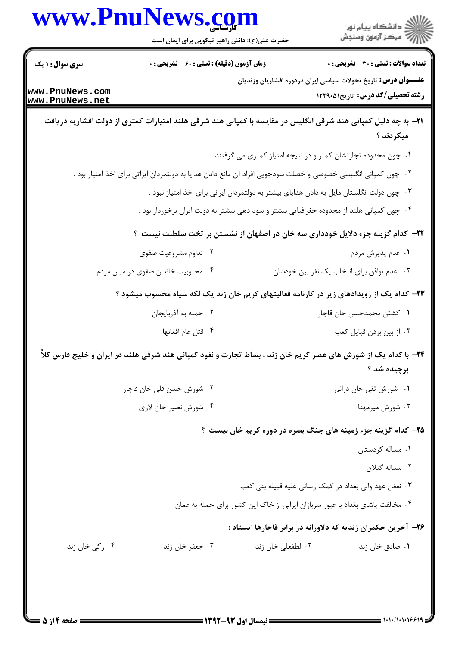|                                                              | www.PnuNews.com<br>حضرت علی(ع): دانش راهبر نیکویی برای ایمان است                                                      |                                                                                           | ر<br>ران دانشگاه پيام نور<br>ران مرکز آزمون وسنڊش                                |
|--------------------------------------------------------------|-----------------------------------------------------------------------------------------------------------------------|-------------------------------------------------------------------------------------------|----------------------------------------------------------------------------------|
| <b>سری سوال : ۱ یک</b><br>www.PnuNews.com<br>www.PnuNews.net | <b>زمان آزمون (دقیقه) : تستی : 60 ٪ تشریحی : 0</b>                                                                    | <b>عنـــوان درس:</b> تاریخ تحولات سیاسی ایران دردوره افشاریان وزندیان                     | تعداد سوالات : تستي : 30 ٪ تشريحي : 0<br><b>رشته تحصیلی/کد درس:</b> تاریخ1۲۲۹۰۵۱ |
|                                                              | <b>۳۱</b> - به چه دلیل کمپانی هند شرقی انگلیس در مقایسه با کمپانی هند شرقی هلند امتیارات کمتری از دولت افشاریه دریافت |                                                                                           | میکردند ؟                                                                        |
|                                                              |                                                                                                                       | ۰۱ چون محدوده تجارتشان کمتر و در نتیجه امتیاز کمتری می گرفتند.                            |                                                                                  |
|                                                              | ۰۲ چون کمپانی انگلیسی خصوصی و خصلت سودجویی افراد آن مانع دادن هدایا به دولتمردان ایراتی برای اخذ امتیاز بود .         |                                                                                           |                                                                                  |
|                                                              |                                                                                                                       | ۰۳ چون دولت انگلستان مایل به دادن هدایای بیشتر به دولتمردان ایرانی برای اخذ امتیاز نبود . |                                                                                  |
|                                                              | ۰۴ چون کمپانی هلند از محدوده جغرافیایی بیشتر و سود دهی بیشتر به دولت ایران برخوردار بود .                             |                                                                                           |                                                                                  |
|                                                              | <b>۲۲</b> – کدام گزینه جزء دلایل خودداری سه خان در اصفهان از نشستن بر تخت سلطنت نیست ؟                                |                                                                                           |                                                                                  |
|                                                              | ۰۲ تداوم مشروعیت صفوی                                                                                                 |                                                                                           | ۰۱ عدم پذیرش مردم                                                                |
|                                                              | ۰۴ محبوبیت خاندان صفوی در میان مردم                                                                                   |                                                                                           | ۰۳ عدم توافق برای انتخاب یک نفر بین خودشان                                       |
|                                                              | ۲۳– کدام یک از رویدادهای زیر در کارنامه فعالیتهای کریم خان زند یک لکه سیاه محسوب میشود ؟                              |                                                                                           |                                                                                  |
|                                                              | ٠٢ حمله به أذربايجان                                                                                                  |                                                                                           | ۰۱ كشتن محمدحسن خان قاجار                                                        |
|                                                              | ۰۴ قتل عام افغانها                                                                                                    |                                                                                           | ۰۳ از بین بردن قبایل کعب                                                         |
|                                                              | ۲۴- با کدام یک از شورش های عصر کریم خان زند ، بساط تجارت و نفوذ کمپانی هند شرقی هلند در ایران و خلیج فارس کلاً        |                                                                                           | برچيده شد ؟                                                                      |
|                                                              | ۰۲ شورش حسن قلی خان قاجار                                                                                             |                                                                                           | ۰۱ شورش تقی خان درانی                                                            |
|                                                              | ۰۴ شورش نصير خان لاري                                                                                                 |                                                                                           | ۰۳ شورش میرمهنا                                                                  |
|                                                              |                                                                                                                       | ۲۵– کدام گزینه جزء زمینه های جنگ بصره در دوره کریم خان نیست ؟                             |                                                                                  |
|                                                              |                                                                                                                       |                                                                                           | ۰۱ مساله کردستان                                                                 |
|                                                              |                                                                                                                       |                                                                                           | ٠٢ مساله گيلان                                                                   |
|                                                              |                                                                                                                       | ۰۳ نقض عهد والی بغداد در کمک رسانی علیه قبیله بنی کعب                                     |                                                                                  |
|                                                              |                                                                                                                       | ۰۴ مخالفت پاشای بغداد با عبور سربازان ایرانی از خاک این کشور برای حمله به عمان            |                                                                                  |
|                                                              |                                                                                                                       | ۲۶– آخرین حکمران زندیه که دلاورانه در برابر قاجارها ایستاد :                              |                                                                                  |
| ۰۴ زکی خان زند                                               | ۰۳ جعفر خان زند                                                                                                       | ۰۲ لطفعلی خان زند                                                                         | ۰۱ صادق خان زند                                                                  |

11111111991

صفحه 4 از 5 =